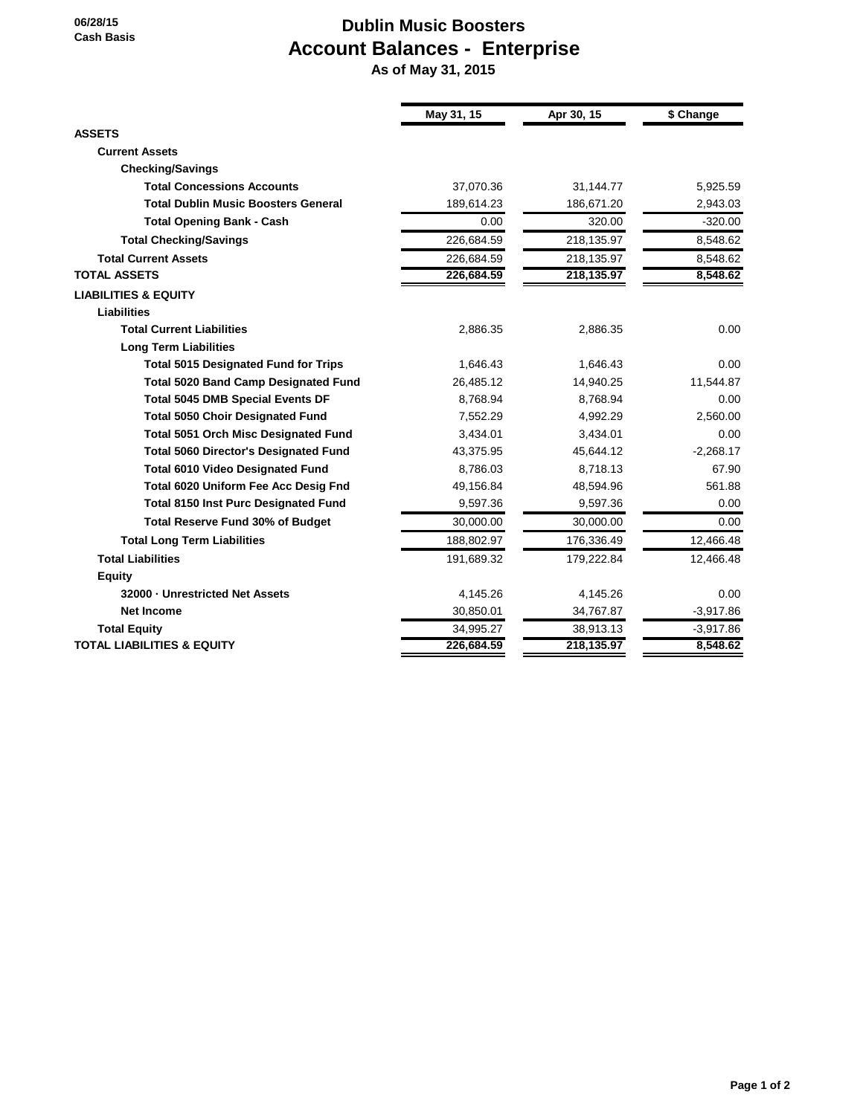## **Dublin Music Boosters Account Balances - Enterprise**

 **As of May 31, 2015**

|                                              | May 31, 15 | Apr 30, 15 | \$ Change   |
|----------------------------------------------|------------|------------|-------------|
| <b>ASSETS</b>                                |            |            |             |
| <b>Current Assets</b>                        |            |            |             |
| <b>Checking/Savings</b>                      |            |            |             |
| <b>Total Concessions Accounts</b>            | 37,070.36  | 31,144.77  | 5,925.59    |
| <b>Total Dublin Music Boosters General</b>   | 189,614.23 | 186,671.20 | 2,943.03    |
| <b>Total Opening Bank - Cash</b>             | 0.00       | 320.00     | $-320.00$   |
| <b>Total Checking/Savings</b>                | 226,684.59 | 218,135.97 | 8,548.62    |
| <b>Total Current Assets</b>                  | 226,684.59 | 218,135.97 | 8,548.62    |
| <b>TOTAL ASSETS</b>                          | 226,684.59 | 218,135.97 | 8,548.62    |
| <b>LIABILITIES &amp; EQUITY</b>              |            |            |             |
| <b>Liabilities</b>                           |            |            |             |
| <b>Total Current Liabilities</b>             | 2,886.35   | 2,886.35   | 0.00        |
| <b>Long Term Liabilities</b>                 |            |            |             |
| <b>Total 5015 Designated Fund for Trips</b>  | 1.646.43   | 1.646.43   | 0.00        |
| <b>Total 5020 Band Camp Designated Fund</b>  | 26,485.12  | 14,940.25  | 11,544.87   |
| <b>Total 5045 DMB Special Events DF</b>      | 8.768.94   | 8.768.94   | 0.00        |
| <b>Total 5050 Choir Designated Fund</b>      | 7,552.29   | 4,992.29   | 2,560.00    |
| <b>Total 5051 Orch Misc Designated Fund</b>  | 3,434.01   | 3,434.01   | 0.00        |
| <b>Total 5060 Director's Designated Fund</b> | 43,375.95  | 45,644.12  | $-2.268.17$ |
| <b>Total 6010 Video Designated Fund</b>      | 8.786.03   | 8,718.13   | 67.90       |
| Total 6020 Uniform Fee Acc Desig Fnd         | 49,156.84  | 48,594.96  | 561.88      |
| <b>Total 8150 Inst Purc Designated Fund</b>  | 9,597.36   | 9,597.36   | 0.00        |
| <b>Total Reserve Fund 30% of Budget</b>      | 30,000.00  | 30,000.00  | 0.00        |
| <b>Total Long Term Liabilities</b>           | 188,802.97 | 176,336.49 | 12,466.48   |
| <b>Total Liabilities</b>                     | 191,689.32 | 179,222.84 | 12,466.48   |
| <b>Equity</b>                                |            |            |             |
| 32000 - Unrestricted Net Assets              | 4,145.26   | 4,145.26   | 0.00        |
| <b>Net Income</b>                            | 30,850.01  | 34,767.87  | $-3,917.86$ |
| <b>Total Equity</b>                          | 34,995.27  | 38,913.13  | $-3,917.86$ |
| <b>TOTAL LIABILITIES &amp; EQUITY</b>        | 226,684.59 | 218,135.97 | 8,548.62    |